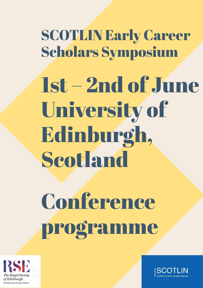SCOTLIN Early Career Scholars Symposium 1st – 2nd of June University of Edinburgh, Scotland

# **Conference** programme



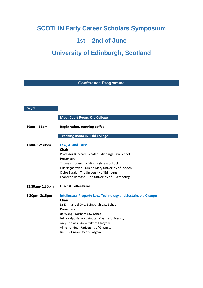# **SCOTLIN Early Career Scholars Symposium**

# **1st – 2nd of June**

# **University of Edinburgh, Scotland**

## **Conference Programme**

| Day 1          |                                                                                                                                                                                                                                                                                                                                                      |
|----------------|------------------------------------------------------------------------------------------------------------------------------------------------------------------------------------------------------------------------------------------------------------------------------------------------------------------------------------------------------|
|                | <b>Moot Court Room, Old College</b>                                                                                                                                                                                                                                                                                                                  |
| $10am - 11am$  | <b>Registration, morning coffee</b>                                                                                                                                                                                                                                                                                                                  |
|                | <b>Teaching Room 07, Old College</b>                                                                                                                                                                                                                                                                                                                 |
| 11am-12:30pm   | Law, AI and Trust<br><b>Chair</b><br>Professor Burkhard Schafer, Edinburgh Law School<br><b>Presenters</b><br>Thomas Broderick - Edinburgh Law School<br>Lilit Nagapetyan - Queen Mary University of London<br>Claire Barale - The University of Edinburgh<br>Leonardo Romanò - The University of Luxembourg                                         |
| 12:30am-1:30pm | Lunch & Coffee break                                                                                                                                                                                                                                                                                                                                 |
| 1:30pm-3:15pm  | <b>Intellectual Property Law, Technology and Sustainable Change</b><br><b>Chair</b><br>Dr Emmanuel Oke, Edinburgh Law School<br><b>Presenters</b><br>Jia Wang - Durham Law School<br>Julija Kalpokienė - Vytautas Magnus University<br>Amy Thomas- University of Glasgow<br>Aline Iramina - University of Glasgow<br>Jie Liu - University of Glasgow |